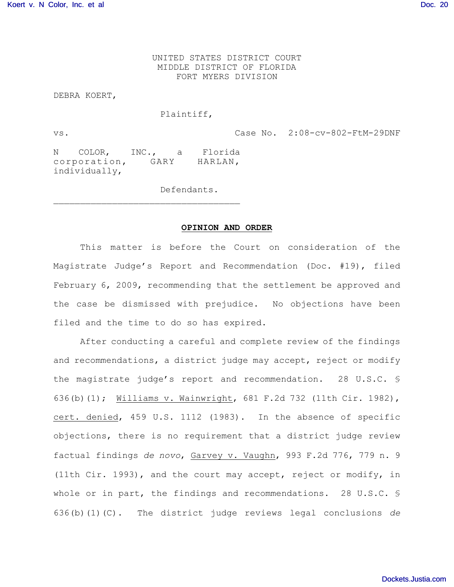UNITED STATES DISTRICT COURT MIDDLE DISTRICT OF FLORIDA FORT MYERS DIVISION

DEBRA KOERT,

## Plaintiff,

vs. Case No. 2:08-cv-802-FtM-29DNF

N COLOR, INC., a Florida corporation, GARY HARLAN, individually,

 $\mathcal{L}_\text{max}$ 

Defendants.

## **OPINION AND ORDER**

This matter is before the Court on consideration of the Magistrate Judge's Report and Recommendation (Doc. #19), filed February 6, 2009, recommending that the settlement be approved and the case be dismissed with prejudice. No objections have been filed and the time to do so has expired.

After conducting a careful and complete review of the findings and recommendations, a district judge may accept, reject or modify the magistrate judge's report and recommendation. 28 U.S.C. § 636(b)(1); Williams v. Wainwright, 681 F.2d 732 (11th Cir. 1982), cert. denied, 459 U.S. 1112 (1983). In the absence of specific objections, there is no requirement that a district judge review factual findings *de novo*, Garvey v. Vaughn, 993 F.2d 776, 779 n. 9 (11th Cir. 1993), and the court may accept, reject or modify, in whole or in part, the findings and recommendations. 28 U.S.C. § 636(b)(1)(C). The district judge reviews legal conclusions *de*